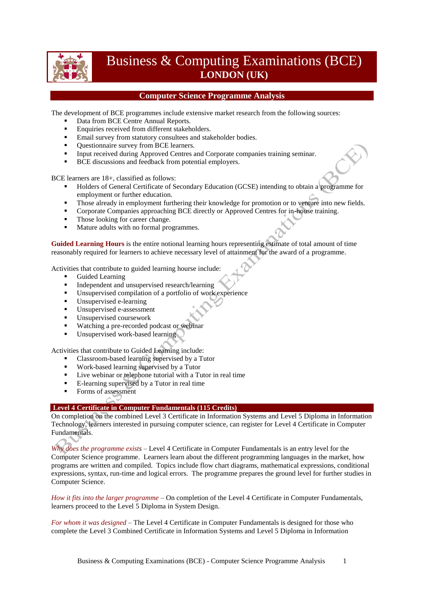

# Business & Computing Examinations (BCE) **LONDON (UK)**

# **Computer Science Programme Analysis**

The development of BCE programmes include extensive market research from the following sources:

- Data from BCE Centre Annual Reports.
- **Enquiries received from different stakeholders.**
- **Email survey from statutory consultees and stakeholder bodies.**
- Ouestionnaire survey from BCE learners.
- Input received during Approved Centres and Corporate companies training seminar.
- **BCE** discussions and feedback from potential employers.

BCE learners are 18+, classified as follows:

- Holders of General Certificate of Secondary Education (GCSE) intending to obtain a programme for employment or further education.
- Those already in employment furthering their knowledge for promotion or to venture into new fields.
- **Corporate Companies approaching BCE directly or Approved Centres for in-house training.**
- Those looking for career change.
- Mature adults with no formal programmes.

**Guided Learning Hours** is the entire notional learning hours representing estimate of total amount of time reasonably required for learners to achieve necessary level of attainment for the award of a programme.

Activities that contribute to guided learning hourse include:

- Guided Learning
- Independent and unsupervised research/learning<br>Insupervised compilation of a portfolio of work
- Unsupervised compilation of a portfolio of work experience
- Unsupervised e-learning
- Unsupervised e-assessment
- Unsupervised coursework
- **Watching a pre-recorded podcast or webinar**
- Unsupervised work-based learning

Activities that contribute to Guided Learning include:

- Classroom-based learning supervised by a Tutor
- Work-based learning supervised by a Tutor
- Live webinar or telephone tutorial with a Tutor in real time
- E-learning supervised by a Tutor in real time
- Forms of assessment

#### **Level 4 Certificate in Computer Fundamentals (115 Credits)**

On completion on the combined Level 3 Certificate in Information Systems and Level 5 Diploma in Information Technology, learners interested in pursuing computer science, can register for Level 4 Certificate in Computer Fundamentals.

*Why does the programme exists* – Level 4 Certificate in Computer Fundamentals is an entry level for the Computer Science programme. Learners learn about the different programming languages in the market, how programs are written and compiled. Topics include flow chart diagrams, mathematical expressions, conditional expressions, syntax, run-time and logical errors. The programme prepares the ground level for further studies in Computer Science.

*How it fits into the larger programme* – On completion of the Level 4 Certificate in Computer Fundamentals, learners proceed to the Level 5 Diploma in System Design.

*For whom it was designed* – The Level 4 Certificate in Computer Fundamentals is designed for those who complete the Level 3 Combined Certificate in Information Systems and Level 5 Diploma in Information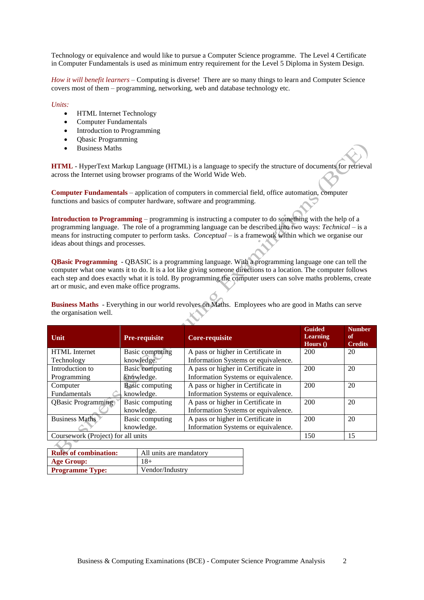Technology or equivalence and would like to pursue a Computer Science programme. The Level 4 Certificate in Computer Fundamentals is used as minimum entry requirement for the Level 5 Diploma in System Design.

*How it will benefit learners* – Computing is diverse! There are so many things to learn and Computer Science covers most of them – programming, networking, web and database technology etc.

*Units:*

- HTML Internet Technology
- Computer Fundamentals
- Introduction to Programming
- Obasic Programming
- Business Maths

**HTML** - HyperText Markup Language (HTML) is a language to specify the structure of documents for retrieval across the Internet using browser programs of the World Wide Web.

**Computer Fundamentals** – application of computers in commercial field, office automation, computer functions and basics of computer hardware, software and programming.

**Introduction to Programming** – programming is instructing a computer to do something with the help of a programming language. The role of a programming language can be described into two ways: *Technical* – is a means for instructing computer to perform tasks. *Conceptual* – is a framework within which we organise our ideas about things and processes.

**QBasic Programming** - QBASIC is a programming language. With a programming language one can tell the computer what one wants it to do. It is a lot like giving someone directions to a location. The computer follows each step and does exactly what it is told. By programming the computer users can solve maths problems, create art or music, and even make office programs.

**Business Maths** - Everything in our world revolves on Maths. Employees who are good in Maths can serve the organisation well.

| Unit                               | <b>Pre-requisite</b>   | Core-requisite                      | <b>Guided</b><br><b>Learning</b><br>Hours $()$ | Number.<br>of<br><b>Credits</b> |
|------------------------------------|------------------------|-------------------------------------|------------------------------------------------|---------------------------------|
| <b>HTML</b> Internet               | Basic computing        | A pass or higher in Certificate in  | 200                                            | 20                              |
| Technology                         | knowledge.             | Information Systems or equivalence. |                                                |                                 |
| Introduction to                    | <b>Basic computing</b> | A pass or higher in Certificate in  | 200                                            | 20                              |
| Programming                        | knowledge.             | Information Systems or equivalence. |                                                |                                 |
| Computer                           | <b>Basic computing</b> | A pass or higher in Certificate in  | 200                                            | 20                              |
| Fundamentals                       | knowledge.             | Information Systems or equivalence. |                                                |                                 |
| <b>QBasic Programming</b>          | Basic computing        | A pass or higher in Certificate in  | 200                                            | 20                              |
|                                    | knowledge.             | Information Systems or equivalence. |                                                |                                 |
| <b>Business Maths</b>              | Basic computing        | A pass or higher in Certificate in  | 200                                            | 20                              |
|                                    | knowledge.             | Information Systems or equivalence. |                                                |                                 |
| Coursework (Project) for all units |                        |                                     | 150                                            | 15                              |

| <b>Rules of combination:</b> | All units are mandatory |
|------------------------------|-------------------------|
| <b>Age Group:</b>            | $18+$                   |
| <b>Programme Type:</b>       | Vendor/Industry         |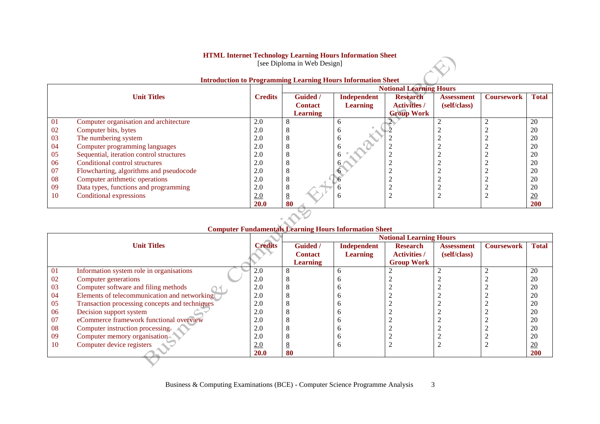## **HTML Internet Technology Learning Hours Information Sheet**

[see Diploma in Web Design]

|     |                                          |                |                 |                 | <b>Notional Learning Hours</b> |                   |                   |              |
|-----|------------------------------------------|----------------|-----------------|-----------------|--------------------------------|-------------------|-------------------|--------------|
|     | <b>Unit Titles</b>                       | <b>Credits</b> | <b>Guided</b> / | Independent     | <b>Research</b>                | <b>Assessment</b> | <b>Coursework</b> | <b>Total</b> |
|     |                                          |                | <b>Contact</b>  | <b>Learning</b> | <b>Activities /</b>            | (self/class)      |                   |              |
|     |                                          |                | <b>Learning</b> |                 | <b>Group Work</b>              |                   |                   |              |
| -01 | Computer organisation and architecture   | 2.0            | 8               |                 |                                |                   |                   | 20           |
| 02  | Computer bits, bytes                     | 2.0            | 8               | n               |                                |                   |                   | 20           |
| 03  | The numbering system                     | 2.0            | 8               | 6               |                                |                   |                   | 20           |
| 04  | Computer programming languages           | 2.0            | 8               | h               |                                |                   |                   | 20           |
| 05  | Sequential, iteration control structures | 2.0            | 8               |                 |                                |                   |                   | 20           |
| 06  | Conditional control structures           | 2.0            | 8               | 6.              |                                |                   |                   | 20           |
| 07  | Flowcharting, algorithms and pseudocode  | 2.0            | 8               |                 |                                |                   |                   | 20           |
| 08  | Computer arithmetic operations           | 2.0            | 8               |                 |                                |                   |                   | 20           |
| 09  | Data types, functions and programming    | 2.0            | 8               |                 |                                |                   |                   | 20           |
| 10  | Conditional expressions                  | 2.0            | $\underline{8}$ | h               |                                |                   |                   | 20           |
|     |                                          | <b>20.0</b>    | 80              |                 |                                |                   |                   | 200          |

#### **Introduction to Programming Learning Hours Information Sheet**

 $\left\langle \cdot \right\rangle$ 

|    |                                                |                |                                   | Computer Fundamentals Learning Hours Information Sheet | <b>Notional Learning Hours</b>         |                                   |                   |                 |
|----|------------------------------------------------|----------------|-----------------------------------|--------------------------------------------------------|----------------------------------------|-----------------------------------|-------------------|-----------------|
|    | <b>Unit Titles</b>                             | <b>Credits</b> | <b>Guided</b> /<br><b>Contact</b> | Independent<br><b>Learning</b>                         | <b>Research</b><br><b>Activities</b> / | <b>Assessment</b><br>(self/class) | <b>Coursework</b> | <b>Total</b>    |
|    |                                                |                | <b>Learning</b>                   |                                                        | <b>Group Work</b>                      |                                   |                   |                 |
| 01 | Information system role in organisations       | 2.0            |                                   |                                                        |                                        |                                   |                   | 20              |
| 02 | Computer generations                           | 2.0            |                                   |                                                        |                                        |                                   |                   | 20              |
| 03 | Computer software and filing methods           | 2.0            |                                   |                                                        |                                        |                                   |                   | 20              |
| 04 | Elements of telecommunication and networking   | 2.0            |                                   |                                                        |                                        |                                   |                   | 20              |
| 05 | Transaction processing concepts and techniques | 2.0            |                                   |                                                        |                                        |                                   |                   | 20              |
| 06 | Decision support system                        | 2.0            |                                   |                                                        |                                        |                                   |                   | 20              |
| 07 | eCommerce framework functional overview        | 2.0            |                                   |                                                        |                                        |                                   |                   | 20              |
| 08 | Computer instruction processing.               | 2.0            |                                   |                                                        |                                        |                                   |                   | 20              |
| 09 | Computer memory organisation                   | 2.0            |                                   |                                                        |                                        |                                   |                   | 20              |
| 10 | Computer device registers                      | 2.0            |                                   |                                                        |                                        |                                   |                   | $\overline{20}$ |
|    |                                                | <b>20.0</b>    | 80                                |                                                        |                                        |                                   |                   | 200             |

# **Computer Fundamentals Learning Hours Information Sheet**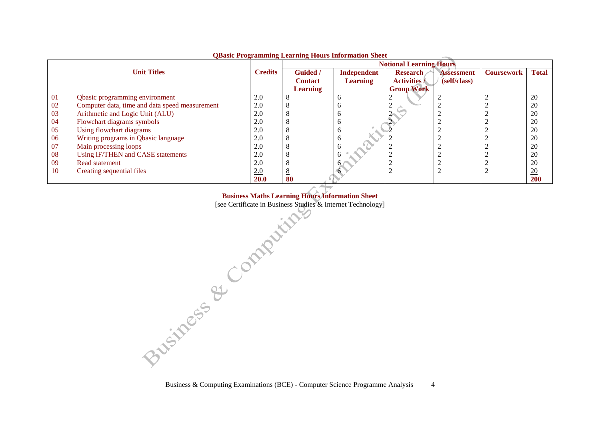|    | QDasit I rogramming Litarining Hours Hilbi mation Shtet |                |                                |                 |                     |                   |                   |              |  |
|----|---------------------------------------------------------|----------------|--------------------------------|-----------------|---------------------|-------------------|-------------------|--------------|--|
|    |                                                         |                | <b>Notional Learning Hours</b> |                 |                     |                   |                   |              |  |
|    | <b>Unit Titles</b>                                      | <b>Credits</b> | Guided /                       | Independent     | <b>Research</b>     | <b>Assessment</b> | <b>Coursework</b> | <b>Total</b> |  |
|    |                                                         |                | <b>Contact</b>                 | <b>Learning</b> | <b>Activities</b> / | (self/class)      |                   |              |  |
|    |                                                         |                | <b>Learning</b>                |                 | <b>Group Work</b>   |                   |                   |              |  |
| 01 | Qbasic programming environment                          | 2.0            |                                |                 |                     |                   |                   | 20           |  |
| 02 | Computer data, time and data speed measurement          | 2.0            |                                |                 |                     |                   |                   | 20           |  |
| 03 | Arithmetic and Logic Unit (ALU)                         | 2.0            |                                |                 |                     |                   |                   | 20           |  |
| 04 | Flowchart diagrams symbols                              | 2.0            |                                |                 |                     |                   |                   | 20           |  |
| 05 | Using flowchart diagrams                                | 2.0            |                                |                 |                     |                   |                   | 20           |  |
| 06 | Writing programs in Qbasic language                     | 2.0            |                                |                 |                     |                   |                   | 20           |  |
| 07 | Main processing loops                                   | 2.0            |                                |                 |                     |                   |                   | 20           |  |
| 08 | Using IF/THEN and CASE statements                       | 2.0            |                                | n               |                     |                   |                   | 20           |  |
| 09 | Read statement                                          | 2.0            |                                |                 |                     |                   |                   | 20           |  |
| 10 | Creating sequential files                               | 2.0            |                                |                 |                     |                   |                   | 20           |  |
|    |                                                         | <b>20.0</b>    | 80                             |                 |                     |                   |                   | <b>200</b>   |  |

#### **QBasic Programming Learning Hours Information Sheet**

**Business Maths Learning Hours Information Sheet**

[see Certificate in Business Studies & Internet Technology]

Business & Computing Examinations (BCE) - Computer Science Programme Analysis 4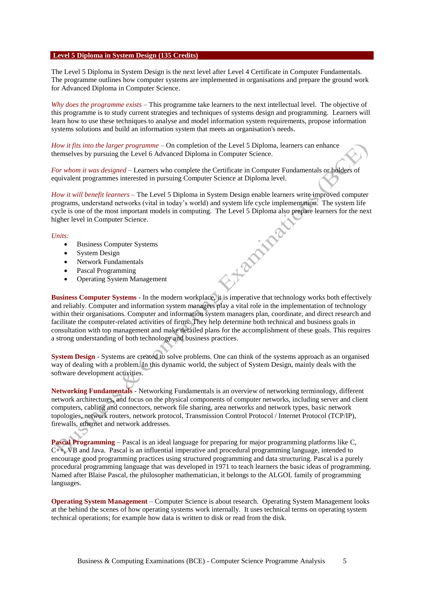#### **Level 5 Diploma in System Design (135 Credits)**

The Level 5 Diploma in System Design is the next level after Level 4 Certificate in Computer Fundamentals. The programme outlines how computer systems are implemented in organisations and prepare the ground work for Advanced Diploma in Computer Science.

*Why does the programme exists* – This programme take learners to the next intellectual level. The objective of this programme is to study current strategies and techniques of systems design and programming. Learners will learn how to use these techniques to analyse and model information system requirements, propose information systems solutions and build an information system that meets an organisation's needs.

*How it fits into the larger programme* – On completion of the Level 5 Diploma, learners can enhance themselves by pursuing the Level 6 Advanced Diploma in Computer Science.

*For whom it was designed* – Learners who complete the Certificate in Computer Fundamentals or holders of equivalent programmes interested in pursuing Computer Science at Diploma level.

*How it will benefit learners* – The Level 5 Diploma in System Design enable learners write improved computer programs, understand networks (vital in today's world) and system life cycle implementation. The system life cycle is one of the most important models in computing. The Level 5 Diploma also prepare learners for the next higher level in Computer Science. **Harpitea** 

#### *Units:*

- Business Computer Systems
- System Design
- Network Fundamentals
- Pascal Programming
- Operating System Management

**Business Computer Systems** - In the modern workplace, it is imperative that technology works both effectively and reliably. Computer and information system managers play a vital role in the implementation of technology within their organisations. Computer and information system managers plan, coordinate, and direct research and facilitate the computer-related activities of firms. They help determine both technical and business goals in consultation with top management and make detailed plans for the accomplishment of these goals. This requires a strong understanding of both technology and business practices.

**System Design** - Systems are created to solve problems. One can think of the systems approach as an organised way of dealing with a problem. In this dynamic world, the subject of System Design, mainly deals with the software development activities.

**Networking Fundamentals** - Networking Fundamentals is an overview of networking terminology, different network architectures, and focus on the physical components of computer networks, including server and client computers, cabling and connectors, network file sharing, area networks and network types, basic network topologies, network routers, network protocol, Transmission Control Protocol / Internet Protocol (TCP/IP), firewalls, ethernet and network addresses.

**Pascal Programming** – Pascal is an ideal language for preparing for major programming platforms like C, C++, VB and Java. Pascal is an influential imperative and procedural programming language, intended to encourage good programming practices using structured programming and data structuring. Pascal is a purely procedural programming language that was developed in 1971 to teach learners the basic ideas of programming. Named after Blaise Pascal, the philosopher mathematician, it belongs to the ALGOL family of programming languages.

**Operating System Management** – Computer Science is about research. Operating System Management looks at the behind the scenes of how operating systems work internally. It uses technical terms on operating system technical operations; for example how data is written to disk or read from the disk.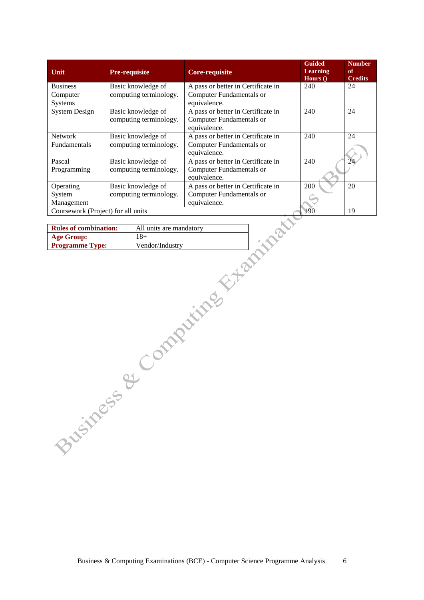| Unit                               | <b>Pre-requisite</b>   | <b>Core-requisite</b>              | <b>Guided</b><br><b>Learning</b><br>Hours $()$ | <b>Number</b><br>of<br><b>Credits</b> |
|------------------------------------|------------------------|------------------------------------|------------------------------------------------|---------------------------------------|
| <b>Business</b>                    | Basic knowledge of     | A pass or better in Certificate in | 240                                            | 24                                    |
| Computer                           | computing terminology. | <b>Computer Fundamentals or</b>    |                                                |                                       |
| <b>Systems</b>                     |                        | equivalence.                       |                                                |                                       |
| <b>System Design</b>               | Basic knowledge of     | A pass or better in Certificate in | 240                                            | 24                                    |
|                                    | computing terminology. | <b>Computer Fundamentals or</b>    |                                                |                                       |
|                                    |                        | equivalence.                       |                                                |                                       |
| <b>Network</b>                     | Basic knowledge of     | A pass or better in Certificate in | 240                                            | 24                                    |
| <b>Fundamentals</b>                | computing terminology. | <b>Computer Fundamentals or</b>    |                                                |                                       |
|                                    |                        | equivalence.                       |                                                |                                       |
| Pascal                             | Basic knowledge of     | A pass or better in Certificate in | 240                                            | 24                                    |
| Programming                        | computing terminology. | <b>Computer Fundamentals or</b>    |                                                |                                       |
|                                    |                        | equivalence.                       |                                                |                                       |
| Operating                          | Basic knowledge of     | A pass or better in Certificate in | 200                                            | 20                                    |
| System                             | computing terminology. | <b>Computer Fundamentals or</b>    |                                                |                                       |
| Management                         |                        | equivalence.                       |                                                |                                       |
| Coursework (Project) for all units |                        |                                    | 190                                            | 19                                    |

| <b>Rules of combination:</b> | All units are mandatory |
|------------------------------|-------------------------|
| <b>Age Group:</b>            | $18+$                   |
| <b>Programme Type:</b>       | Vendor/Industry         |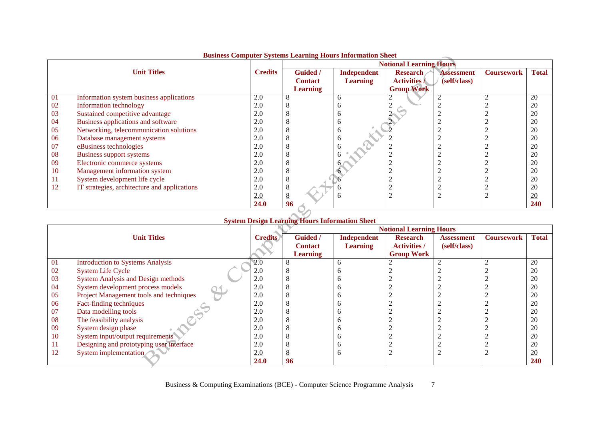|    |                                              |                | ваянсяя сотвратет в тятот всегдии в толго писательного внесе |                 | <b>Notional Learning Hours</b> |                   |                   |              |
|----|----------------------------------------------|----------------|--------------------------------------------------------------|-----------------|--------------------------------|-------------------|-------------------|--------------|
|    | <b>Unit Titles</b>                           | <b>Credits</b> | <b>Guided</b> /                                              | Independent     | <b>Research</b>                | <b>Assessment</b> | <b>Coursework</b> | <b>Total</b> |
|    |                                              |                | <b>Contact</b>                                               | <b>Learning</b> | <b>Activities /</b>            | (self/class)      |                   |              |
|    |                                              |                | <b>Learning</b>                                              |                 | <b>Group Work</b>              |                   |                   |              |
| 01 | Information system business applications     | 2.0            | 8                                                            | n               |                                |                   |                   | 20           |
| 02 | Information technology                       | 2.0            |                                                              |                 |                                |                   |                   | 20           |
| 03 | Sustained competitive advantage              | 2.0            | 8                                                            | n               |                                |                   |                   | 20           |
| 04 | Business applications and software           | 2.0            | 8                                                            | n               |                                |                   |                   | 20           |
| 05 | Networking, telecommunication solutions      | 2.0            | 8                                                            | n               |                                |                   |                   | 20           |
| 06 | Database management systems                  | 2.0            | 8                                                            | <sub>0</sub>    |                                |                   |                   | 20           |
| 07 | eBusiness technologies                       | 2.0            | Δ                                                            |                 |                                |                   |                   | 20           |
| 08 | Business support systems                     | 2.0            | O                                                            |                 |                                |                   |                   | 20           |
| 09 | Electronic commerce systems                  | 2.0            | 8                                                            |                 |                                |                   |                   | 20           |
| 10 | Management information system                | 2.0            | 8                                                            |                 |                                |                   |                   | 20           |
| 11 | System development life cycle                | 2.0            | 8                                                            |                 |                                |                   |                   | 20           |
| 12 | IT strategies, architecture and applications | 2.0            | 8                                                            |                 |                                |                   |                   | 20           |
|    |                                              | 2.0            | 8                                                            | n               | ◠                              |                   |                   | 20           |
|    |                                              | <b>24.0</b>    | 96                                                           |                 |                                |                   |                   | <b>240</b>   |

#### **Business Computer Systems Learning Hours Information Sheet**

### **System Design Learning Hours Information Sheet**

|           |                                           |                | <b>Notional Learning Hours</b> |                 |                     |                   |                   |                  |
|-----------|-------------------------------------------|----------------|--------------------------------|-----------------|---------------------|-------------------|-------------------|------------------|
|           | <b>Unit Titles</b>                        | <b>Credits</b> | <b>Guided</b> /                | Independent     | <b>Research</b>     | <b>Assessment</b> | <b>Coursework</b> | <b>Total</b>     |
|           |                                           |                | <b>Contact</b>                 | <b>Learning</b> | <b>Activities /</b> | (self/class)      |                   |                  |
|           |                                           |                | <b>Learning</b>                |                 | <b>Group Work</b>   |                   |                   |                  |
| 01        | <b>Introduction to Systems Analysis</b>   | 2.0            |                                |                 |                     |                   |                   | 20               |
| 02        | <b>System Life Cycle</b>                  | 2.0            |                                |                 |                     |                   |                   | 20               |
| 03        | <b>System Analysis and Design methods</b> | 2.0            |                                |                 |                     |                   |                   | 20               |
| -04       | System development process models         | 2.0            |                                |                 |                     |                   |                   | 20               |
| 05        | Project Management tools and techniques   | 2.0            |                                |                 |                     |                   |                   | 20               |
| 06        | Fact-finding techniques                   | 2.0            |                                |                 |                     |                   |                   | 20               |
| 07        | Data modelling tools                      | 2.0            |                                |                 |                     |                   |                   | 20               |
| 08        | The feasibility analysis                  | 2.0            |                                |                 |                     |                   |                   | 20               |
| -09       | System design phase                       | 2.0            |                                |                 |                     |                   |                   | 20               |
| <b>10</b> | System input/output requirements          | 2.0            |                                |                 |                     |                   |                   | 20               |
|           | Designing and prototyping user interface  | 2.0            |                                |                 |                     |                   |                   | 20               |
| 12        | System implementation                     | 2.0            |                                |                 |                     |                   |                   | $\underline{20}$ |
|           |                                           | 24.0           | 96                             |                 |                     |                   |                   | 240              |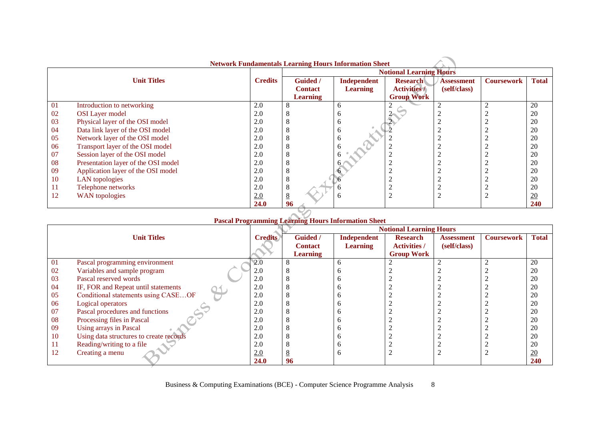|    | <b>Network Fundamentals Learning Hours Information Sheet</b> |                |                                |                 |                     |                   |                   |                  |  |
|----|--------------------------------------------------------------|----------------|--------------------------------|-----------------|---------------------|-------------------|-------------------|------------------|--|
|    |                                                              |                | <b>Notional Learning Hours</b> |                 |                     |                   |                   |                  |  |
|    | <b>Unit Titles</b>                                           | <b>Credits</b> | <b>Guided</b> /                | Independent     | <b>Research</b>     | <b>Assessment</b> | <b>Coursework</b> | <b>Total</b>     |  |
|    |                                                              |                | <b>Contact</b>                 | <b>Learning</b> | <b>Activities /</b> | (self/class)      |                   |                  |  |
|    |                                                              |                | <b>Learning</b>                |                 | <b>Group Work</b>   |                   |                   |                  |  |
| 01 | Introduction to networking                                   | 2.0            | 8                              | <sub>6</sub>    |                     |                   |                   | 20               |  |
| 02 | <b>OSI</b> Layer model                                       | 2.0            | Δ                              | n               |                     |                   |                   | 20               |  |
| 03 | Physical layer of the OSI model                              | 2.0            | 8                              | <sub>0</sub>    |                     |                   |                   | 20               |  |
| 04 | Data link layer of the OSI model                             | 2.0            | 8                              | <sub>0</sub>    |                     |                   |                   | 20               |  |
| 05 | Network layer of the OSI model                               | 2.0            | 8                              | O               |                     |                   |                   | 20               |  |
| 06 | Transport layer of the OSI model                             | 2.0            | 8                              |                 |                     |                   |                   | 20               |  |
| 07 | Session layer of the OSI model                               | 2.0            | ×                              |                 |                     |                   |                   | 20               |  |
| 08 | Presentation layer of the OSI model                          | 2.0            | 8                              |                 |                     |                   |                   | 20               |  |
| 09 | Application layer of the OSI model                           | 2.0            | 8                              |                 |                     |                   |                   | 20               |  |
| 10 | LAN topologies                                               | 2.0            | 8                              |                 |                     |                   |                   | 20               |  |
| 11 | Telephone networks                                           | 2.0            | 8                              |                 |                     |                   |                   | 20               |  |
| 12 | WAN topologies                                               | 2.0            | $8\overline{8}$                | h               | $\overline{2}$      |                   |                   | $\underline{20}$ |  |
|    |                                                              | 24.0           | 96                             |                 |                     |                   |                   | <b>240</b>       |  |
|    |                                                              |                |                                |                 |                     |                   |                   |                  |  |

| <b>Pascal Programming Learning Hours Information Sheet</b> |  |
|------------------------------------------------------------|--|
|                                                            |  |

|           |                                         |                | <b>Notional Learning Hours</b> |                    |                     |                   |                   |                 |  |
|-----------|-----------------------------------------|----------------|--------------------------------|--------------------|---------------------|-------------------|-------------------|-----------------|--|
|           | <b>Unit Titles</b>                      | <b>Credits</b> | <b>Guided</b> /                | <b>Independent</b> | <b>Research</b>     | <b>Assessment</b> | <b>Coursework</b> | <b>Total</b>    |  |
|           |                                         |                | <b>Contact</b>                 | <b>Learning</b>    | <b>Activities /</b> | (self/class)      |                   |                 |  |
|           |                                         |                | <b>Learning</b>                |                    | <b>Group Work</b>   |                   |                   |                 |  |
| -01       | Pascal programming environment          | 2.0            |                                |                    |                     |                   |                   | 20              |  |
| 02        | Variables and sample program            | 2.0            |                                |                    |                     |                   |                   | 20              |  |
| 03        | Pascal reserved words                   | 2.0            |                                |                    |                     |                   |                   | 20              |  |
| 04        | IF, FOR and Repeat until statements     | 2.0            |                                |                    |                     |                   |                   | 20              |  |
| 05        | Conditional statements using CASEOF     | 2.0            |                                |                    |                     |                   |                   | 20              |  |
| 06        | Logical operators                       | 2.0            |                                |                    |                     |                   |                   | 20              |  |
| 07        | Pascal procedures and functions         | 2.0            |                                |                    |                     |                   |                   | 20              |  |
| 08        | Processing files in Pascal              | 2.0            |                                |                    |                     |                   |                   | 20              |  |
| -09       | Using arrays in Pascal                  | 2.0            |                                |                    |                     |                   |                   | 20              |  |
| <b>10</b> | Using data structures to create records | 2.0            |                                |                    |                     |                   |                   | 20              |  |
|           | Reading/writing to a file               | 2.0            |                                |                    |                     |                   |                   | 20              |  |
| 12        | Creating a menu                         | 2.0            |                                | n                  |                     |                   |                   | $\overline{20}$ |  |
|           |                                         | <b>24.0</b>    | 96                             |                    |                     |                   |                   | 240             |  |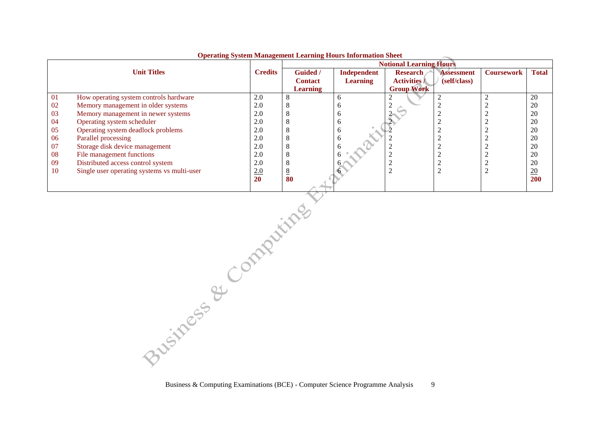|    | Operating bysicm management framing froms mornation sheet<br><b>Notional Learning Hours</b> |                |                 |                 |                     |                   |                   |              |
|----|---------------------------------------------------------------------------------------------|----------------|-----------------|-----------------|---------------------|-------------------|-------------------|--------------|
|    | <b>Unit Titles</b>                                                                          | <b>Credits</b> |                 |                 |                     |                   |                   |              |
|    |                                                                                             |                | <b>Guided</b> / | Independent     | <b>Research</b>     | <b>Assessment</b> | <b>Coursework</b> | <b>Total</b> |
|    |                                                                                             |                | <b>Contact</b>  | <b>Learning</b> | <b>Activities /</b> | (self/class)      |                   |              |
|    |                                                                                             |                | <b>Learning</b> |                 | <b>Group Work</b>   |                   |                   |              |
| 01 | How operating system controls hardware                                                      | 2.0            | 8               |                 |                     |                   |                   | 20           |
| 02 | Memory management in older systems                                                          | 2.0            | $\Delta$        |                 |                     |                   |                   | 20           |
| 03 | Memory management in newer systems                                                          | 2.0            | 8               |                 |                     |                   |                   | 20           |
| 04 | Operating system scheduler                                                                  | 2.0            | 8               |                 |                     |                   |                   | 20           |
| 05 | Operating system deadlock problems                                                          | 2.0            | $\Delta$        |                 |                     |                   |                   | 20           |
| 06 | Parallel processing                                                                         | 2.0            | 8               |                 |                     |                   |                   | 20           |
| 07 | Storage disk device management                                                              | 2.0            | 8               |                 |                     |                   |                   | 20           |
| 08 | File management functions                                                                   | 2.0            | 8               |                 |                     |                   |                   | 20           |
| 09 | Distributed access control system                                                           | 2.0            | 8               |                 |                     |                   |                   | 20           |
| 10 | Single user operating systems vs multi-user                                                 | 2.0            | 8               |                 |                     |                   |                   | <u>20</u>    |
|    |                                                                                             | <b>20</b>      | 80              |                 |                     |                   |                   | 200          |
|    |                                                                                             |                |                 |                 |                     |                   |                   |              |

#### **Operating System Management Learning Hours Information Sheet**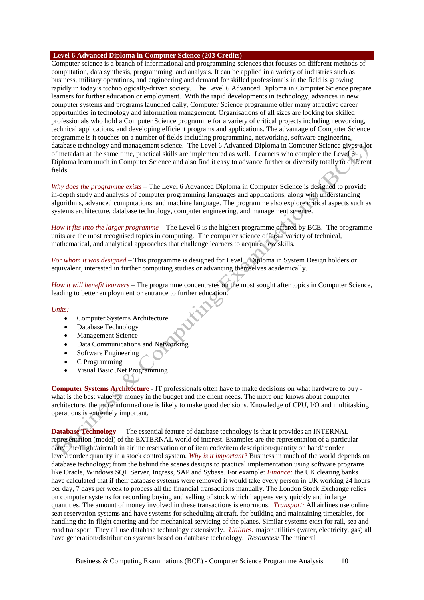#### **Level 6 Advanced Diploma in Computer Science (203 Credits)**

Computer science is a branch of informational and programming sciences that focuses on different methods of computation, data synthesis, programming, and analysis. It can be applied in a variety of industries such as business, military operations, and engineering and demand for skilled professionals in the field is growing rapidly in today's technologically-driven society. The Level 6 Advanced Diploma in Computer Science prepare learners for further education or employment. With the rapid developments in technology, advances in new computer systems and programs launched daily, Computer Science programme offer many attractive career opportunities in technology and information management. Organisations of all sizes are looking for skilled professionals who hold a Computer Science programme for a variety of critical projects including networking, technical applications, and developing efficient programs and applications. The advantage of Computer Science programme is it touches on a number of fields including programming, networking, software engineering, database technology and management science. The Level 6 Advanced Diploma in Computer Science gives a lot of metadata at the same time, practical skills are implemented as well. Learners who complete the Level 6 Diploma learn much in Computer Science and also find it easy to advance further or diversify totally to different fields.

*Why does the programme exists* – The Level 6 Advanced Diploma in Computer Science is designed to provide in-depth study and analysis of computer programming languages and applications, along with understanding algorithms, advanced computations, and machine language. The programme also explore critical aspects such as systems architecture, database technology, computer engineering, and management science.

*How it fits into the larger programme* – The Level 6 is the highest programme offered by BCE. The programme units are the most recognised topics in computing. The computer science offers a variety of technical, mathematical, and analytical approaches that challenge learners to acquire new skills.

*For whom it was designed* – This programme is designed for Level 5 Diploma in System Design holders or equivalent, interested in further computing studies or advancing themselves academically.

*How it will benefit learners* – The programme concentrates on the most sought after topics in Computer Science, leading to better employment or entrance to further education.

#### *Units:*

- Computer Systems Architecture
- Database Technology
- Management Science
- Data Communications and Networking
- Software Engineering
- C Programming
- Visual Basic .Net Programming

**Computer Systems Architecture** - IT professionals often have to make decisions on what hardware to buy what is the best value for money in the budget and the client needs. The more one knows about computer architecture, the more informed one is likely to make good decisions. Knowledge of CPU, I/O and multitasking operations is extremely important.

**Database Technology** - The essential feature of database technology is that it provides an INTERNAL representation (model) of the EXTERNAL world of interest. Examples are the representation of a particular date/time/flight/aircraft in airline reservation or of item code/item description/quantity on hand/reorder level/reorder quantity in a stock control system. *Why is it important?* Business in much of the world depends on database technology; from the behind the scenes designs to practical implementation using software programs like Oracle, Windows SQL Server, Ingress, SAP and Sybase. For example: *Finance:* the UK clearing banks have calculated that if their database systems were removed it would take every person in UK working 24 hours per day, 7 days per week to process all the financial transactions manually. The London Stock Exchange relies on computer systems for recording buying and selling of stock which happens very quickly and in large quantities. The amount of money involved in these transactions is enormous. *Transport:* All airlines use online seat reservation systems and have systems for scheduling aircraft, for building and maintaining timetables, for handling the in-flight catering and for mechanical servicing of the planes. Similar systems exist for rail, sea and road transport. They all use database technology extensively. *Utilities:* major utilities (water, electricity, gas) all have generation/distribution systems based on database technology. *Resources:* The mineral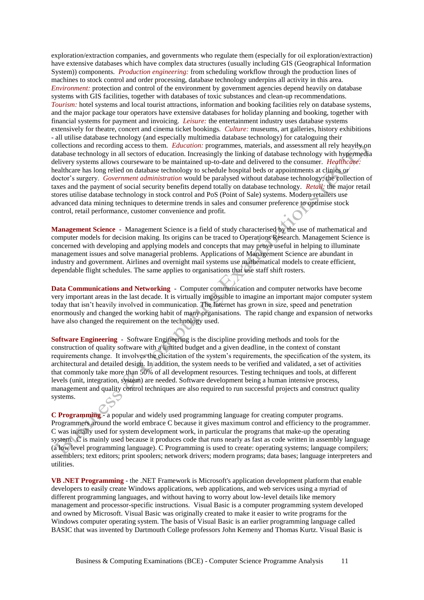exploration/extraction companies, and governments who regulate them (especially for oil exploration/extraction) have extensive databases which have complex data structures (usually including GIS (Geographical Information System)) components. *Production engineering:* from scheduling workflow through the production lines of machines to stock control and order processing, database technology underpins all activity in this area. *Environment:* protection and control of the environment by government agencies depend heavily on database systems with GIS facilities, together with databases of toxic substances and clean-up recommendations. *Tourism:* hotel systems and local tourist attractions, information and booking facilities rely on database systems, and the major package tour operators have extensive databases for holiday planning and booking, together with financial systems for payment and invoicing. *Leisure:* the entertainment industry uses database systems extensively for theatre, concert and cinema ticket bookings. *Culture:* museums, art galleries, history exhibitions - all utilise database technology (and especially multimedia database technology) for cataloguing their collections and recording access to them. *Education:* programmes, materials, and assessment all rely heavily on database technology in all sectors of education. Increasingly the linking of database technology with hypermedia delivery systems allows courseware to be maintained up-to-date and delivered to the consumer. *Healthcare:* healthcare has long relied on database technology to schedule hospital beds or appointments at clinics or doctor's surgery. *Government administration* would be paralysed without database technology; the collection of taxes and the payment of social security benefits depend totally on database technology. *Retail:* the major retail stores utilise database technology in stock control and PoS (Point of Sale) systems. Modern retailers use advanced data mining techniques to determine trends in sales and consumer preference to optimise stock control, retail performance, customer convenience and profit.

**Management Science** - Management Science is a field of study characterised by the use of mathematical and computer models for decision making. Its origins can be traced to Operations Research. Management Science is concerned with developing and applying models and concepts that may prove useful in helping to illuminate management issues and solve managerial problems. Applications of Management Science are abundant in industry and government. Airlines and overnight mail systems use mathematical models to create efficient, dependable flight schedules. The same applies to organisations that use staff shift rosters.

**Data Communications and Networking** - Computer communication and computer networks have become very important areas in the last decade. It is virtually impossible to imagine an important major computer system today that isn't heavily involved in communication. The Internet has grown in size, speed and penetration enormously and changed the working habit of many organisations. The rapid change and expansion of networks have also changed the requirement on the technology used.

**Software Engineering** - Software Engineering is the discipline providing methods and tools for the construction of quality software with a limited budget and a given deadline, in the context of constant requirements change. It involves the elicitation of the system's requirements, the specification of the system, its architectural and detailed design. In addition, the system needs to be verified and validated, a set of activities that commonly take more than 50% of all development resources. Testing techniques and tools, at different levels (unit, integration, system) are needed. Software development being a human intensive process, management and quality control techniques are also required to run successful projects and construct quality systems.

**C Programming** - a popular and widely used programming language for creating computer programs. Programmers around the world embrace C because it gives maximum control and efficiency to the programmer. C was initially used for system development work, in particular the programs that make-up the operating system. C is mainly used because it produces code that runs nearly as fast as code written in assembly language (a low level programming language). C Programming is used to create: operating systems; language compilers; assemblers; text editors; print spoolers; network drivers; modern programs; data bases; language interpreters and utilities.

**VB .NET Programming** - the .NET Framework is Microsoft's application development platform that enable developers to easily create Windows applications, web applications, and web services using a myriad of different programming languages, and without having to worry about low-level details like memory management and processor-specific instructions. Visual Basic is a computer programming system developed and owned by Microsoft. Visual Basic was originally created to make it easier to write programs for the Windows computer operating system. The basis of Visual Basic is an earlier programming language called BASIC that was invented by Dartmouth College professors John Kemeny and Thomas Kurtz. Visual Basic is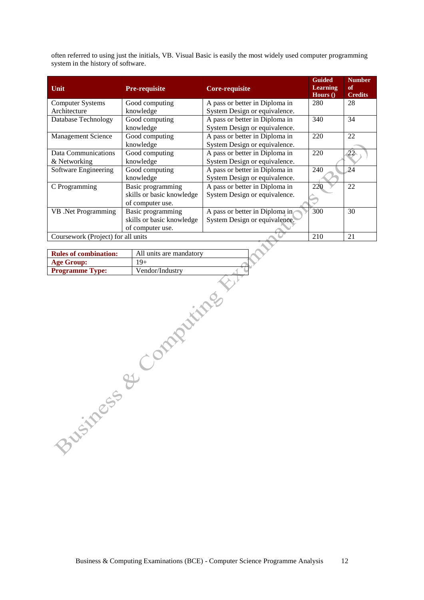often referred to using just the initials, VB. Visual Basic is easily the most widely used computer programming system in the history of software.

| Unit                               | <b>Pre-requisite</b>      | <b>Core-requisite</b>          | <b>Guided</b><br><b>Learning</b><br>Hours $()$ | <b>Number</b><br>of<br><b>Credits</b> |
|------------------------------------|---------------------------|--------------------------------|------------------------------------------------|---------------------------------------|
| <b>Computer Systems</b>            | Good computing            | A pass or better in Diploma in | 280                                            | 28                                    |
| Architecture                       | knowledge                 | System Design or equivalence.  |                                                |                                       |
| Database Technology                | Good computing            | A pass or better in Diploma in | 340                                            | 34                                    |
|                                    | knowledge                 | System Design or equivalence.  |                                                |                                       |
| <b>Management Science</b>          | Good computing            | A pass or better in Diploma in | 220                                            | 22                                    |
|                                    | knowledge                 | System Design or equivalence.  |                                                |                                       |
| Data Communications                | Good computing            | A pass or better in Diploma in | 220                                            |                                       |
| & Networking                       | knowledge                 | System Design or equivalence.  |                                                |                                       |
| Software Engineering               | Good computing            | A pass or better in Diploma in | 240                                            | 24                                    |
|                                    | knowledge                 | System Design or equivalence.  |                                                |                                       |
| C Programming                      | Basic programming         | A pass or better in Diploma in | 220                                            | 22                                    |
|                                    | skills or basic knowledge | System Design or equivalence.  |                                                |                                       |
|                                    | of computer use.          |                                |                                                |                                       |
| VB .Net Programming                | Basic programming         | A pass or better in Diploma in | 300                                            | 30                                    |
|                                    | skills or basic knowledge | System Design or equivalence.  |                                                |                                       |
|                                    | of computer use.          |                                |                                                |                                       |
| Coursework (Project) for all units |                           |                                | 210                                            | 21                                    |

| <b>Rules of combination:</b> | All units are mandatory |
|------------------------------|-------------------------|
| Age Group:                   | 19+                     |
| <b>Programme Type:</b>       | Vendor/Industry         |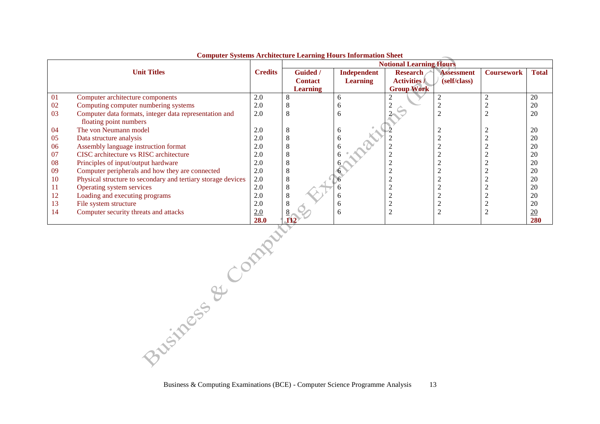|           |                                                              |                | compater bybeemb in emitted by Bearming now b mior mation<br><b>Notional Learning Hours</b> |                 |                     |                   |                   |              |
|-----------|--------------------------------------------------------------|----------------|---------------------------------------------------------------------------------------------|-----------------|---------------------|-------------------|-------------------|--------------|
|           | <b>Unit Titles</b>                                           | <b>Credits</b> | <b>Guided</b> /                                                                             | Independent     | <b>Research</b>     | <b>Assessment</b> | <b>Coursework</b> | <b>Total</b> |
|           |                                                              |                | <b>Contact</b>                                                                              | <b>Learning</b> | <b>Activities /</b> | (self/class)      |                   |              |
|           |                                                              |                | <b>Learning</b>                                                                             |                 | <b>Group Work</b>   |                   |                   |              |
| 01        | Computer architecture components                             | 2.0            | Ô                                                                                           | n               |                     |                   |                   | 20           |
| 02        | Computing computer numbering systems                         | 2.0            |                                                                                             |                 |                     |                   |                   | 20           |
| 03        | Computer data formats, integer data representation and       | 2.0            | 8                                                                                           |                 |                     |                   |                   | 20           |
|           | floating point numbers                                       |                |                                                                                             |                 |                     |                   |                   |              |
| 04        | The von Neumann model                                        | 2.0            | 8                                                                                           |                 |                     |                   |                   | 20           |
| 05        | Data structure analysis                                      | 2.0            | ŏ                                                                                           |                 |                     |                   |                   | 20           |
| 06        | Assembly language instruction format                         | 2.0            | δ                                                                                           |                 |                     |                   |                   | 20           |
| 07        | CISC architecture vs RISC architecture                       | 2.0            |                                                                                             |                 |                     |                   |                   | 20           |
| 08        | Principles of input/output hardware                          | 2.0            |                                                                                             |                 |                     |                   |                   | 20           |
| 09        | Computer peripherals and how they are connected              | 2.0            | Ō                                                                                           |                 |                     |                   |                   | 20           |
| <b>10</b> | Physical structure to secondary and tertiary storage devices | 2.0            | 8                                                                                           |                 |                     |                   |                   | 20           |
| 11        | Operating system services                                    | 2.0            | 8                                                                                           |                 |                     |                   |                   | 20           |
| 12        | Loading and executing programs                               | 2.0            | 8                                                                                           |                 |                     |                   |                   | 20           |
| 13        | File system structure                                        | 2.0            |                                                                                             |                 |                     |                   |                   | 20           |
| 14        | Computer security threats and attacks                        | 2.0            |                                                                                             |                 |                     |                   |                   | 20           |
|           |                                                              | 28.0           |                                                                                             |                 |                     |                   |                   | 280          |

**Computer Systems Architecture Learning Hours Information Sheet**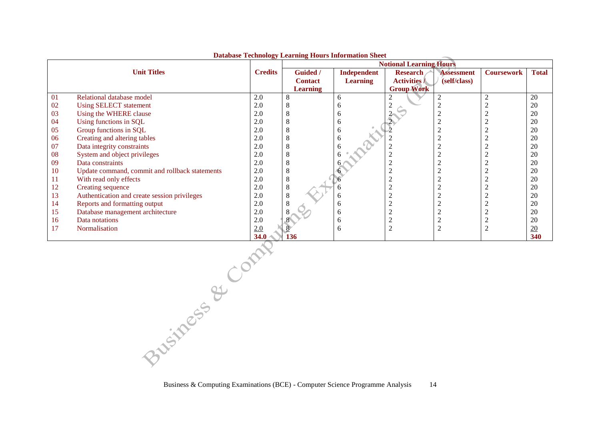|    |                                                |                | Database Technology Ecarning Hours Information Sheet<br><b>Notional Learning Hours</b> |                    |                     |                   |                   |                  |
|----|------------------------------------------------|----------------|----------------------------------------------------------------------------------------|--------------------|---------------------|-------------------|-------------------|------------------|
|    | <b>Unit Titles</b>                             | <b>Credits</b> | Guided /                                                                               | <b>Independent</b> | <b>Research</b>     | <b>Assessment</b> | <b>Coursework</b> | <b>Total</b>     |
|    |                                                |                | <b>Contact</b>                                                                         | <b>Learning</b>    | <b>Activities /</b> | (self/class)      |                   |                  |
|    |                                                |                | <b>Learning</b>                                                                        |                    | <b>Group Work</b>   |                   |                   |                  |
| 01 | Relational database model                      | 2.0            |                                                                                        | 6                  | 2                   |                   |                   | 20               |
| 02 | <b>Using SELECT statement</b>                  | 2.0            |                                                                                        |                    |                     |                   |                   | 20               |
| 03 | Using the WHERE clause                         | 2.0            |                                                                                        | n                  |                     |                   |                   | 20               |
| 04 | Using functions in SQL                         | 2.0            |                                                                                        | h                  |                     |                   |                   | 20               |
| 05 | Group functions in SQL                         | 2.0            |                                                                                        | 6                  |                     |                   |                   | 20               |
| 06 | Creating and altering tables                   | 2.0            |                                                                                        | h                  |                     |                   |                   | 20               |
| 07 | Data integrity constraints                     | 2.0            |                                                                                        |                    |                     |                   |                   | 20               |
| 08 | System and object privileges                   | 2.0            |                                                                                        |                    |                     |                   |                   | 20               |
| 09 | Data constraints                               | 2.0            |                                                                                        |                    |                     |                   |                   | 20               |
| 10 | Update command, commit and rollback statements | 2.0            |                                                                                        |                    |                     |                   |                   | 20               |
| 11 | With read only effects                         | 2.0            |                                                                                        |                    |                     |                   |                   | 20               |
| 12 | Creating sequence                              | 2.0            |                                                                                        |                    |                     |                   |                   | 20               |
| 13 | Authentication and create session privileges   | 2.0            |                                                                                        | h                  |                     |                   |                   | 20               |
| 14 | Reports and formatting output                  | 2.0            |                                                                                        | h                  |                     |                   |                   | 20               |
| 15 | Database management architecture               | 2.0            |                                                                                        | h                  |                     |                   |                   | 20               |
| 16 | Data notations                                 | 2.0            |                                                                                        | h                  |                     |                   |                   | 20               |
| 17 | <b>Normalisation</b>                           | 2.0            |                                                                                        | h                  | 2                   |                   | $\bigcap$<br>∠    | $\underline{20}$ |
|    |                                                | 34.0           | 136                                                                                    |                    |                     |                   |                   | 340              |

#### **Database Technology Learning Hours Information Sheet**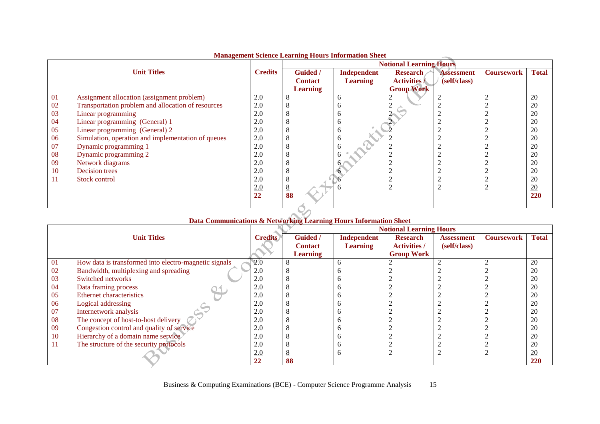|    | <b><i><u>Humagement befence Learning Hours Hillerman blicet</u></i></b> |                | <b>Notional Learning Hours</b> |                    |                     |                   |                   |                  |
|----|-------------------------------------------------------------------------|----------------|--------------------------------|--------------------|---------------------|-------------------|-------------------|------------------|
|    | <b>Unit Titles</b>                                                      | <b>Credits</b> | <b>Guided</b> /                | <b>Independent</b> | <b>Research</b>     | <b>Assessment</b> | <b>Coursework</b> | <b>Total</b>     |
|    |                                                                         |                | <b>Contact</b>                 | <b>Learning</b>    | <b>Activities /</b> | (self/class)      |                   |                  |
|    |                                                                         |                | <b>Learning</b>                |                    | <b>Group Work</b>   |                   |                   |                  |
| 01 | Assignment allocation (assignment problem)                              | 2.0            | 8                              | <sub>0</sub>       |                     |                   |                   | 20               |
| 02 | Transportation problem and allocation of resources                      | 2.0            | Õ                              |                    |                     |                   |                   | 20               |
| 03 | Linear programming                                                      | 2.0            | 8                              |                    |                     |                   |                   | 20               |
| 04 | Linear programming (General) 1                                          | 2.0            | 8                              | n                  |                     |                   |                   | 20               |
| 05 | Linear programming (General) 2                                          | 2.0            | 8                              |                    |                     |                   |                   | 20               |
| 06 | Simulation, operation and implementation of queues                      | 2.0            | 8                              |                    |                     |                   |                   | 20               |
| 07 | Dynamic programming 1                                                   | 2.0            | 8                              |                    |                     |                   |                   | 20               |
| 08 | Dynamic programming 2                                                   | 2.0            | 8                              |                    |                     |                   |                   | 20               |
| 09 | Network diagrams                                                        | 2.0            | 8                              |                    |                     |                   |                   | 20               |
| 10 | Decision trees                                                          | 2.0            | 8                              |                    |                     |                   |                   | 20               |
| 11 | Stock control                                                           | 2.0            | 8                              |                    | ◠                   |                   |                   | 20               |
|    |                                                                         | 2.0            | $\frac{8}{88}$                 |                    | $\overline{2}$      |                   |                   | $\underline{20}$ |
|    |                                                                         | 22             |                                |                    |                     |                   |                   | 220              |
|    |                                                                         |                |                                |                    |                     |                   |                   |                  |

#### **Management Science Learning Hours Information Sheet**

|    |                                                       |                |                 |                    | <b>Notional Learning Hours</b> |              |                   |                 |
|----|-------------------------------------------------------|----------------|-----------------|--------------------|--------------------------------|--------------|-------------------|-----------------|
|    | <b>Unit Titles</b>                                    | <b>Credits</b> | <b>Guided</b> / | <b>Independent</b> | <b>Research</b>                | Assessment   | <b>Coursework</b> | <b>Total</b>    |
|    |                                                       |                | <b>Contact</b>  | <b>Learning</b>    | <b>Activities /</b>            | (self/class) |                   |                 |
|    |                                                       |                | <b>Learning</b> |                    | <b>Group Work</b>              |              |                   |                 |
| 01 | How data is transformed into electro-magnetic signals | 2.0            |                 |                    |                                |              |                   | 20              |
| 02 | Bandwidth, multiplexing and spreading                 | 2.0            | Ω               |                    |                                |              |                   | 20              |
| 03 | Switched networks                                     | 2.0            |                 |                    |                                |              |                   | 20              |
| 04 | Data framing process                                  | 2.0            |                 |                    |                                |              |                   | 20              |
| 05 | Ethernet characteristics                              | 2.0            |                 |                    |                                |              |                   | 20              |
| 06 | Logical addressing                                    | 2.0            |                 |                    |                                |              |                   | 20              |
| 07 | Internetwork analysis                                 | 2.0            |                 |                    |                                |              |                   | 20              |
| 08 | The concept of host-to-host delivery                  | 2.0            |                 |                    |                                |              |                   | 20              |
| 09 | Congestion control and quality of service             | 2.0            |                 |                    |                                |              |                   | 20              |
| 10 | Hierarchy of a domain name service                    | 2.0            |                 |                    |                                |              |                   | 20              |
| 11 | The structure of the security protocols               | 2.0            |                 |                    |                                |              |                   | 20              |
|    |                                                       | 2.0            |                 |                    |                                |              |                   | $\overline{20}$ |
|    |                                                       | 22             | 88              |                    |                                |              |                   | 220             |

# **Data Communications & Networking Learning Hours Information Sheet**